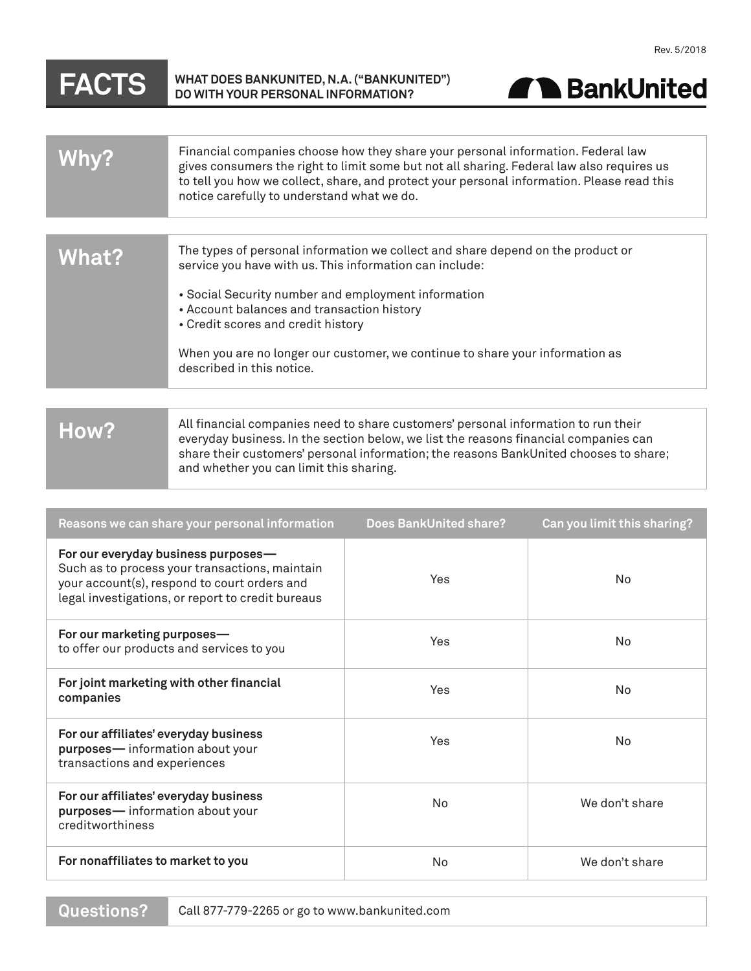## **FACTS WHAT DOES BANKUNITED, N.A. ("BANKUNITED") DO WITH YOUR PERSONAL INFORMATION?**



|              | Financial companies choose how they share your personal information. Federal law<br>gives consumers the right to limit some but not all sharing. Federal law also requires us<br>to tell you how we collect, share, and protect your personal information. Please read this<br>notice carefully to understand what we do. |
|--------------|---------------------------------------------------------------------------------------------------------------------------------------------------------------------------------------------------------------------------------------------------------------------------------------------------------------------------|
|              |                                                                                                                                                                                                                                                                                                                           |
| <b>What?</b> | The types of personal information we collect and share depend on the product or<br>service you have with us. This information can include:                                                                                                                                                                                |
|              | • Social Security number and employment information                                                                                                                                                                                                                                                                       |
|              | • Account balances and transaction history                                                                                                                                                                                                                                                                                |
|              | • Credit scores and credit history                                                                                                                                                                                                                                                                                        |
|              | When you are no longer our customer, we continue to share your information as                                                                                                                                                                                                                                             |
|              | described in this notice.                                                                                                                                                                                                                                                                                                 |
|              |                                                                                                                                                                                                                                                                                                                           |
| How?         | All financial companies need to share customers' personal information to run their<br>everyday business. In the section below, we list the reasons financial companies can<br>share their customers' personal information; the reasons BankUnited chooses to share;<br>and whether you can limit this sharing.            |

| Reasons we can share your personal information                                                                                                                                             | <b>Does BankUnited share?</b> | Can you limit this sharing? |
|--------------------------------------------------------------------------------------------------------------------------------------------------------------------------------------------|-------------------------------|-----------------------------|
| For our everyday business purposes-<br>Such as to process your transactions, maintain<br>your account(s), respond to court orders and<br>legal investigations, or report to credit bureaus | Yes                           | N <sub>0</sub>              |
| For our marketing purposes-<br>to offer our products and services to you                                                                                                                   | Yes                           | N <sub>0</sub>              |
| For joint marketing with other financial<br>companies                                                                                                                                      | Yes                           | N <sub>0</sub>              |
| For our affiliates' everyday business<br>purposes-information about your<br>transactions and experiences                                                                                   | Yes                           | No.                         |
| For our affiliates' everyday business<br>purposes-information about your<br>creditworthiness                                                                                               | No                            | We don't share              |
| For nonaffiliates to market to you                                                                                                                                                         | No                            | We don't share              |

**Questions?**

Call 877-779-2265 or go to www.bankunited.com